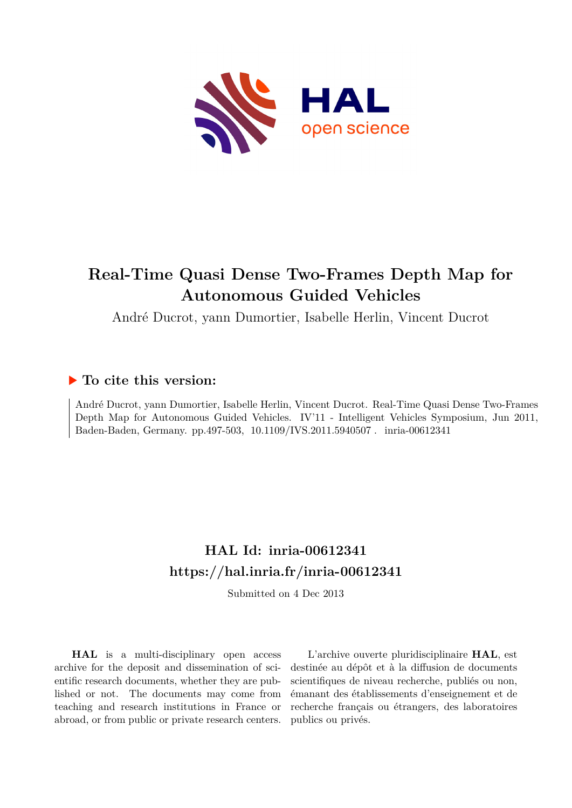

## **Real-Time Quasi Dense Two-Frames Depth Map for Autonomous Guided Vehicles**

André Ducrot, yann Dumortier, Isabelle Herlin, Vincent Ducrot

### **To cite this version:**

André Ducrot, yann Dumortier, Isabelle Herlin, Vincent Ducrot. Real-Time Quasi Dense Two-Frames Depth Map for Autonomous Guided Vehicles. IV'11 - Intelligent Vehicles Symposium, Jun 2011, Baden-Baden, Germany. pp.497-503, 10.1109/IVS.2011.5940507. inria-00612341

## **HAL Id: inria-00612341 <https://hal.inria.fr/inria-00612341>**

Submitted on 4 Dec 2013

**HAL** is a multi-disciplinary open access archive for the deposit and dissemination of scientific research documents, whether they are published or not. The documents may come from teaching and research institutions in France or abroad, or from public or private research centers.

L'archive ouverte pluridisciplinaire **HAL**, est destinée au dépôt et à la diffusion de documents scientifiques de niveau recherche, publiés ou non, émanant des établissements d'enseignement et de recherche français ou étrangers, des laboratoires publics ou privés.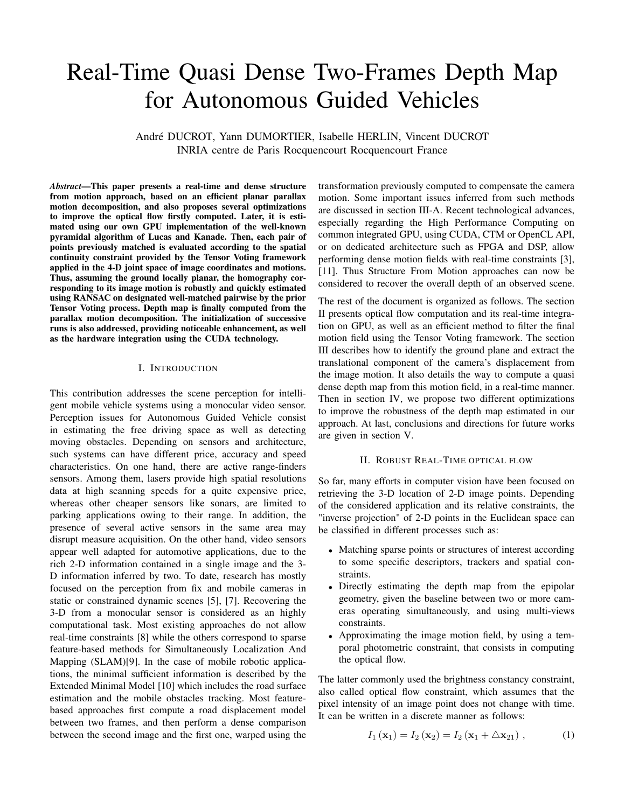# Real-Time Quasi Dense Two-Frames Depth Map for Autonomous Guided Vehicles

André DUCROT, Yann DUMORTIER, Isabelle HERLIN, Vincent DUCROT INRIA centre de Paris Rocquencourt Rocquencourt France

*Abstract*—This paper presents a real-time and dense structure from motion approach, based on an efficient planar parallax motion decomposition, and also proposes several optimizations to improve the optical flow firstly computed. Later, it is estimated using our own GPU implementation of the well-known pyramidal algorithm of Lucas and Kanade. Then, each pair of points previously matched is evaluated according to the spatial continuity constraint provided by the Tensor Voting framework applied in the 4-D joint space of image coordinates and motions. Thus, assuming the ground locally planar, the homography corresponding to its image motion is robustly and quickly estimated using RANSAC on designated well-matched pairwise by the prior Tensor Voting process. Depth map is finally computed from the parallax motion decomposition. The initialization of successive runs is also addressed, providing noticeable enhancement, as well as the hardware integration using the CUDA technology.

#### I. INTRODUCTION

This contribution addresses the scene perception for intelligent mobile vehicle systems using a monocular video sensor. Perception issues for Autonomous Guided Vehicle consist in estimating the free driving space as well as detecting moving obstacles. Depending on sensors and architecture, such systems can have different price, accuracy and speed characteristics. On one hand, there are active range-finders sensors. Among them, lasers provide high spatial resolutions data at high scanning speeds for a quite expensive price, whereas other cheaper sensors like sonars, are limited to parking applications owing to their range. In addition, the presence of several active sensors in the same area may disrupt measure acquisition. On the other hand, video sensors appear well adapted for automotive applications, due to the rich 2-D information contained in a single image and the 3- D information inferred by two. To date, research has mostly focused on the perception from fix and mobile cameras in static or constrained dynamic scenes [5], [7]. Recovering the 3-D from a monocular sensor is considered as an highly computational task. Most existing approaches do not allow real-time constraints [8] while the others correspond to sparse feature-based methods for Simultaneously Localization And Mapping (SLAM)[9]. In the case of mobile robotic applications, the minimal sufficient information is described by the Extended Minimal Model [10] which includes the road surface estimation and the mobile obstacles tracking. Most featurebased approaches first compute a road displacement model between two frames, and then perform a dense comparison between the second image and the first one, warped using the

transformation previously computed to compensate the camera motion. Some important issues inferred from such methods are discussed in section III-A. Recent technological advances, especially regarding the High Performance Computing on common integrated GPU, using CUDA, CTM or OpenCL API, or on dedicated architecture such as FPGA and DSP, allow performing dense motion fields with real-time constraints [3], [11]. Thus Structure From Motion approaches can now be considered to recover the overall depth of an observed scene.

The rest of the document is organized as follows. The section II presents optical flow computation and its real-time integration on GPU, as well as an efficient method to filter the final motion field using the Tensor Voting framework. The section III describes how to identify the ground plane and extract the translational component of the camera's displacement from the image motion. It also details the way to compute a quasi dense depth map from this motion field, in a real-time manner. Then in section IV, we propose two different optimizations to improve the robustness of the depth map estimated in our approach. At last, conclusions and directions for future works are given in section V.

#### II. ROBUST REAL-TIME OPTICAL FLOW

So far, many efforts in computer vision have been focused on retrieving the 3-D location of 2-D image points. Depending of the considered application and its relative constraints, the "inverse projection" of 2-D points in the Euclidean space can be classified in different processes such as:

- Matching sparse points or structures of interest according to some specific descriptors, trackers and spatial constraints.
- Directly estimating the depth map from the epipolar geometry, given the baseline between two or more cameras operating simultaneously, and using multi-views constraints.
- Approximating the image motion field, by using a temporal photometric constraint, that consists in computing the optical flow.

The latter commonly used the brightness constancy constraint, also called optical flow constraint, which assumes that the pixel intensity of an image point does not change with time. It can be written in a discrete manner as follows:

$$
I_1(\mathbf{x}_1) = I_2(\mathbf{x}_2) = I_2(\mathbf{x}_1 + \triangle \mathbf{x}_{21}), \tag{1}
$$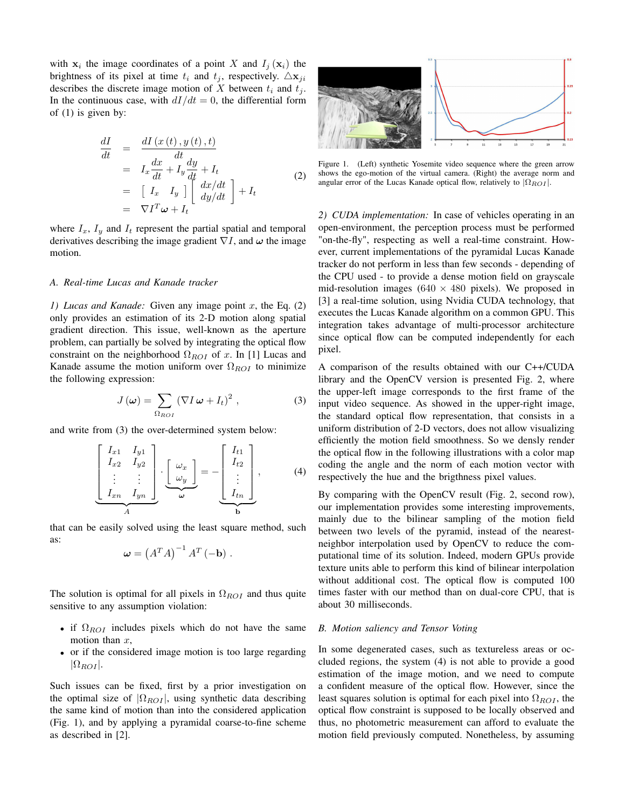with  $x_i$  the image coordinates of a point X and  $I_j(x_i)$  the brightness of its pixel at time  $t_i$  and  $t_j$ , respectively.  $\Delta \mathbf{x}_{ji}$ describes the discrete image motion of X between  $t_i$  and  $t_j$ . In the continuous case, with  $dI/dt = 0$ , the differential form of  $(1)$  is given by:

$$
\frac{dI}{dt} = \frac{dI(x(t), y(t), t)}{dt}
$$
\n
$$
= I_x \frac{dx}{dt} + I_y \frac{dy}{dt} + I_t
$$
\n
$$
= \begin{bmatrix} I_x & I_y \end{bmatrix} \begin{bmatrix} dx/dt \\ dy/dt \end{bmatrix} + I_t
$$
\n
$$
= \nabla I^T \omega + I_t
$$
\n(2)

where  $I_x$ ,  $I_y$  and  $I_t$  represent the partial spatial and temporal derivatives describing the image gradient  $\nabla I$ , and  $\omega$  the image motion.

#### *A. Real-time Lucas and Kanade tracker*

*1) Lucas and Kanade:* Given any image point x, the Eq. (2) only provides an estimation of its 2-D motion along spatial gradient direction. This issue, well-known as the aperture problem, can partially be solved by integrating the optical flow constraint on the neighborhood  $\Omega_{ROI}$  of x. In [1] Lucas and Kanade assume the motion uniform over  $\Omega_{ROI}$  to minimize the following expression:

$$
J(\omega) = \sum_{\Omega_{ROI}} (\nabla I \omega + I_t)^2 , \qquad (3)
$$

and write from (3) the over-determined system below:

$$
\left[\begin{array}{cc} I_{x1} & I_{y1} \\ I_{x2} & I_{y2} \\ \vdots & \vdots \\ I_{xn} & I_{yn} \end{array}\right] \cdot \left[\begin{array}{c} \omega_x \\ \omega_y \end{array}\right] = -\left[\begin{array}{c} I_{t1} \\ I_{t2} \\ \vdots \\ I_{tn} \end{array}\right],\tag{4}
$$

that can be easily solved using the least square method, such as:

$$
\boldsymbol{\omega} = \left(A^T A\right)^{-1} A^T \left(-\mathbf{b}\right).
$$

The solution is optimal for all pixels in  $\Omega_{ROI}$  and thus quite sensitive to any assumption violation:

- if  $\Omega_{ROI}$  includes pixels which do not have the same motion than  $x$ ,
- or if the considered image motion is too large regarding  $|\Omega_{ROI}|$ .

Such issues can be fixed, first by a prior investigation on the optimal size of  $|\Omega_{ROI}|$ , using synthetic data describing the same kind of motion than into the considered application (Fig. 1), and by applying a pyramidal coarse-to-fine scheme as described in [2].



Figure 1. (Left) synthetic Yosemite video sequence where the green arrow shows the ego-motion of the virtual camera. (Right) the average norm and angular error of the Lucas Kanade optical flow, relatively to  $|\Omega_{ROI}|$ .

*2) CUDA implementation:* In case of vehicles operating in an open-environment, the perception process must be performed "on-the-fly", respecting as well a real-time constraint. However, current implementations of the pyramidal Lucas Kanade tracker do not perform in less than few seconds - depending of the CPU used - to provide a dense motion field on grayscale mid-resolution images (640  $\times$  480 pixels). We proposed in [3] a real-time solution, using Nvidia CUDA technology, that executes the Lucas Kanade algorithm on a common GPU. This integration takes advantage of multi-processor architecture since optical flow can be computed independently for each pixel.

A comparison of the results obtained with our C++/CUDA library and the OpenCV version is presented Fig. 2, where the upper-left image corresponds to the first frame of the input video sequence. As showed in the upper-right image, the standard optical flow representation, that consists in a uniform distribution of 2-D vectors, does not allow visualizing efficiently the motion field smoothness. So we densly render the optical flow in the following illustrations with a color map coding the angle and the norm of each motion vector with respectively the hue and the brigthness pixel values.

By comparing with the OpenCV result (Fig. 2, second row), our implementation provides some interesting improvements, mainly due to the bilinear sampling of the motion field between two levels of the pyramid, instead of the nearestneighbor interpolation used by OpenCV to reduce the computational time of its solution. Indeed, modern GPUs provide texture units able to perform this kind of bilinear interpolation without additional cost. The optical flow is computed 100 times faster with our method than on dual-core CPU, that is about 30 milliseconds.

#### *B. Motion saliency and Tensor Voting*

In some degenerated cases, such as textureless areas or occluded regions, the system (4) is not able to provide a good estimation of the image motion, and we need to compute a confident measure of the optical flow. However, since the least squares solution is optimal for each pixel into  $\Omega_{ROI}$ , the optical flow constraint is supposed to be locally observed and thus, no photometric measurement can afford to evaluate the motion field previously computed. Nonetheless, by assuming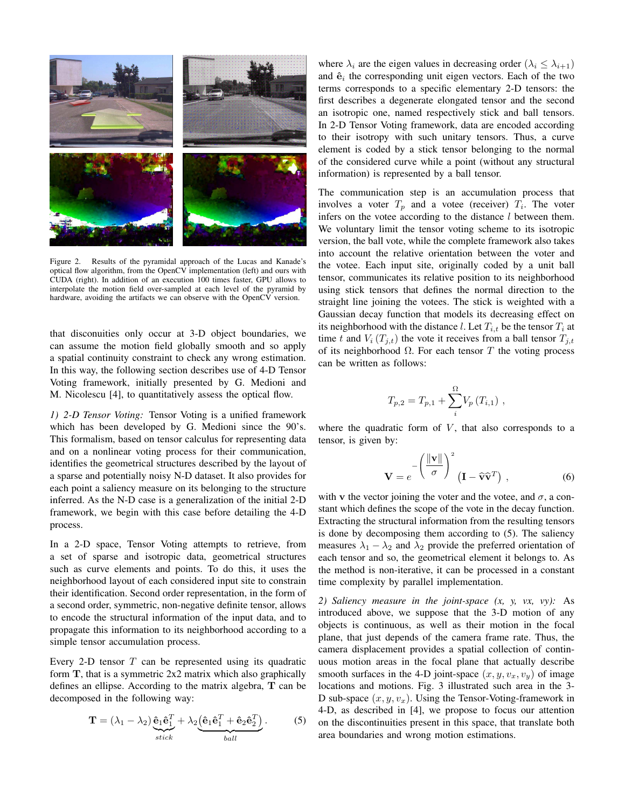

Figure 2. Results of the pyramidal approach of the Lucas and Kanade's optical flow algorithm, from the OpenCV implementation (left) and ours with CUDA (right). In addition of an execution 100 times faster, GPU allows to interpolate the motion field over-sampled at each level of the pyramid by hardware, avoiding the artifacts we can observe with the OpenCV version.

that disconuities only occur at 3-D object boundaries, we can assume the motion field globally smooth and so apply a spatial continuity constraint to check any wrong estimation. In this way, the following section describes use of 4-D Tensor Voting framework, initially presented by G. Medioni and M. Nicolescu [4], to quantitatively assess the optical flow.

*1) 2-D Tensor Voting:* Tensor Voting is a unified framework which has been developed by G. Medioni since the 90's. This formalism, based on tensor calculus for representing data and on a nonlinear voting process for their communication, identifies the geometrical structures described by the layout of a sparse and potentially noisy N-D dataset. It also provides for each point a saliency measure on its belonging to the structure inferred. As the N-D case is a generalization of the initial 2-D framework, we begin with this case before detailing the 4-D process.

In a 2-D space, Tensor Voting attempts to retrieve, from a set of sparse and isotropic data, geometrical structures such as curve elements and points. To do this, it uses the neighborhood layout of each considered input site to constrain their identification. Second order representation, in the form of a second order, symmetric, non-negative definite tensor, allows to encode the structural information of the input data, and to propagate this information to its neighborhood according to a simple tensor accumulation process.

Every 2-D tensor  $T$  can be represented using its quadratic form  $T$ , that is a symmetric  $2x2$  matrix which also graphically defines an ellipse. According to the matrix algebra, T can be decomposed in the following way:

$$
\mathbf{T} = (\lambda_1 - \lambda_2) \underbrace{\hat{\mathbf{e}}_1 \hat{\mathbf{e}}_1^T}_{stick} + \lambda_2 \underbrace{(\hat{\mathbf{e}}_1 \hat{\mathbf{e}}_1^T + \hat{\mathbf{e}}_2 \hat{\mathbf{e}}_2^T)}_{ball}.
$$
 (5)

where  $\lambda_i$  are the eigen values in decreasing order  $(\lambda_i \leq \lambda_{i+1})$ and  $\hat{\mathbf{e}}_i$  the corresponding unit eigen vectors. Each of the two terms corresponds to a specific elementary 2-D tensors: the first describes a degenerate elongated tensor and the second an isotropic one, named respectively stick and ball tensors. In 2-D Tensor Voting framework, data are encoded according to their isotropy with such unitary tensors. Thus, a curve element is coded by a stick tensor belonging to the normal of the considered curve while a point (without any structural information) is represented by a ball tensor.

The communication step is an accumulation process that involves a voter  $T_p$  and a votee (receiver)  $T_i$ . The voter infers on the votee according to the distance  $l$  between them. We voluntary limit the tensor voting scheme to its isotropic version, the ball vote, while the complete framework also takes into account the relative orientation between the voter and the votee. Each input site, originally coded by a unit ball tensor, communicates its relative position to its neighborhood using stick tensors that defines the normal direction to the straight line joining the votees. The stick is weighted with a Gaussian decay function that models its decreasing effect on its neighborhood with the distance l. Let  $T_{i,t}$  be the tensor  $T_i$  at time t and  $V_i(T_{j,t})$  the vote it receives from a ball tensor  $T_{j,t}$ of its neighborhood  $\Omega$ . For each tensor T the voting process can be written as follows:

$$
T_{p,2} = T_{p,1} + \sum_{i}^{Ω} V_p(T_{i,1}),
$$

where the quadratic form of  $V$ , that also corresponds to a tensor, is given by:

$$
\mathbf{V} = e^{-\left(\frac{\|\mathbf{v}\|}{\sigma}\right)^2} \left(\mathbf{I} - \widehat{\mathbf{v}}\widehat{\mathbf{v}}^T\right),\tag{6}
$$

with v the vector joining the voter and the votee, and  $\sigma$ , a constant which defines the scope of the vote in the decay function. Extracting the structural information from the resulting tensors is done by decomposing them according to (5). The saliency measures  $\lambda_1 - \lambda_2$  and  $\lambda_2$  provide the preferred orientation of each tensor and so, the geometrical element it belongs to. As the method is non-iterative, it can be processed in a constant time complexity by parallel implementation.

*2) Saliency measure in the joint-space (x, y, vx, vy):* As introduced above, we suppose that the 3-D motion of any objects is continuous, as well as their motion in the focal plane, that just depends of the camera frame rate. Thus, the camera displacement provides a spatial collection of continuous motion areas in the focal plane that actually describe smooth surfaces in the 4-D joint-space  $(x, y, v_x, v_y)$  of image locations and motions. Fig. 3 illustrated such area in the 3- D sub-space  $(x, y, v_x)$ . Using the Tensor-Voting-framework in 4-D, as described in [4], we propose to focus our attention on the discontinuities present in this space, that translate both area boundaries and wrong motion estimations.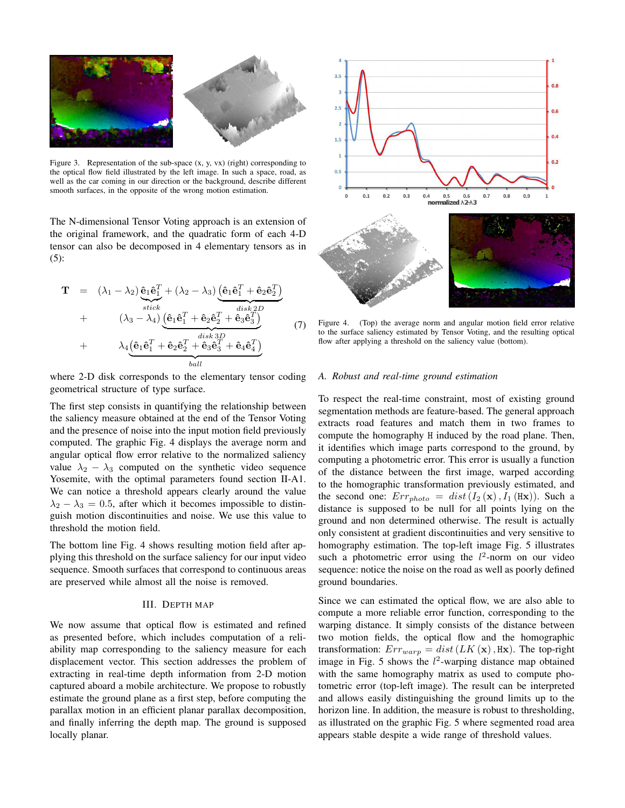

Figure 3. Representation of the sub-space  $(x, y, vx)$  (right) corresponding to the optical flow field illustrated by the left image. In such a space, road, as well as the car coming in our direction or the background, describe different smooth surfaces, in the opposite of the wrong motion estimation.

The N-dimensional Tensor Voting approach is an extension of the original framework, and the quadratic form of each 4-D tensor can also be decomposed in 4 elementary tensors as in (5):

$$
\mathbf{T} = (\lambda_1 - \lambda_2) \underbrace{\hat{\mathbf{e}}_1 \hat{\mathbf{e}}_1^T + (\lambda_2 - \lambda_3) \underbrace{(\hat{\mathbf{e}}_1 \hat{\mathbf{e}}_1^T + \hat{\mathbf{e}}_2 \hat{\mathbf{e}}_2^T)}_{stick 2D} + (\lambda_3 - \lambda_4) \underbrace{(\hat{\mathbf{e}}_1 \hat{\mathbf{e}}_1^T + \hat{\mathbf{e}}_2 \hat{\mathbf{e}}_2^T + \hat{\mathbf{e}}_3 \hat{\mathbf{e}}_3^T)}_{disk 3D} + \lambda_4 \underbrace{(\hat{\mathbf{e}}_1 \hat{\mathbf{e}}_1^T + \hat{\mathbf{e}}_2 \hat{\mathbf{e}}_2^T + \hat{\mathbf{e}}_3 \hat{\mathbf{e}}_3^T + \hat{\mathbf{e}}_4 \hat{\mathbf{e}}_4^T)}_{ball}
$$
(7)

where 2-D disk corresponds to the elementary tensor coding geometrical structure of type surface.

The first step consists in quantifying the relationship between the saliency measure obtained at the end of the Tensor Voting and the presence of noise into the input motion field previously computed. The graphic Fig. 4 displays the average norm and angular optical flow error relative to the normalized saliency value  $\lambda_2 - \lambda_3$  computed on the synthetic video sequence Yosemite, with the optimal parameters found section II-A1. We can notice a threshold appears clearly around the value  $\lambda_2 - \lambda_3 = 0.5$ , after which it becomes impossible to distinguish motion discontinuities and noise. We use this value to threshold the motion field.

The bottom line Fig. 4 shows resulting motion field after applying this threshold on the surface saliency for our input video sequence. Smooth surfaces that correspond to continuous areas are preserved while almost all the noise is removed.

#### III. DEPTH MAP

We now assume that optical flow is estimated and refined as presented before, which includes computation of a reliability map corresponding to the saliency measure for each displacement vector. This section addresses the problem of extracting in real-time depth information from 2-D motion captured aboard a mobile architecture. We propose to robustly estimate the ground plane as a first step, before computing the parallax motion in an efficient planar parallax decomposition, and finally inferring the depth map. The ground is supposed locally planar.



Figure 4. (Top) the average norm and angular motion field error relative to the surface saliency estimated by Tensor Voting, and the resulting optical flow after applying a threshold on the saliency value (bottom).

#### *A. Robust and real-time ground estimation*

To respect the real-time constraint, most of existing ground segmentation methods are feature-based. The general approach extracts road features and match them in two frames to compute the homography H induced by the road plane. Then, it identifies which image parts correspond to the ground, by computing a photometric error. This error is usually a function of the distance between the first image, warped according to the homographic transformation previously estimated, and the second one:  $Err_{photo} = dist(I_2(\mathbf{x}), I_1(\mathbf{H}\mathbf{x}))$ . Such a distance is supposed to be null for all points lying on the ground and non determined otherwise. The result is actually only consistent at gradient discontinuities and very sensitive to homography estimation. The top-left image Fig. 5 illustrates such a photometric error using the  $l^2$ -norm on our video sequence: notice the noise on the road as well as poorly defined ground boundaries.

Since we can estimated the optical flow, we are also able to compute a more reliable error function, corresponding to the warping distance. It simply consists of the distance between two motion fields, the optical flow and the homographic transformation:  $Err_{warp} = dist(LK(\mathbf{x}), H\mathbf{x})$ . The top-right image in Fig. 5 shows the  $l^2$ -warping distance map obtained with the same homography matrix as used to compute photometric error (top-left image). The result can be interpreted and allows easily distinguishing the ground limits up to the horizon line. In addition, the measure is robust to thresholding, as illustrated on the graphic Fig. 5 where segmented road area appears stable despite a wide range of threshold values.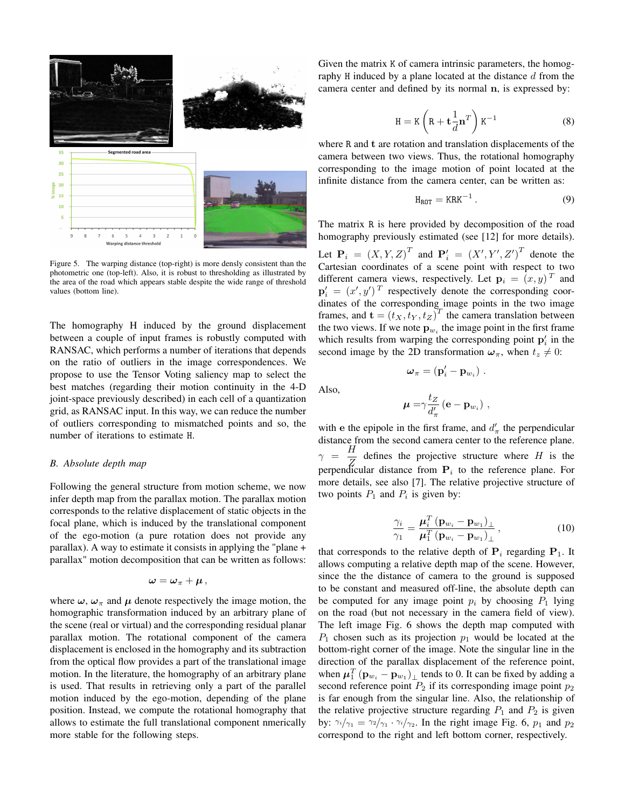

Figure 5. The warping distance (top-right) is more densly consistent than the photometric one (top-left). Also, it is robust to thresholding as illustrated by the area of the road which appears stable despite the wide range of threshold values (bottom line).

The homography H induced by the ground displacement between a couple of input frames is robustly computed with RANSAC, which performs a number of iterations that depends on the ratio of outliers in the image correspondences. We propose to use the Tensor Voting saliency map to select the best matches (regarding their motion continuity in the 4-D joint-space previously described) in each cell of a quantization grid, as RANSAC input. In this way, we can reduce the number of outliers corresponding to mismatched points and so, the number of iterations to estimate H.

#### *B. Absolute depth map*

Following the general structure from motion scheme, we now infer depth map from the parallax motion. The parallax motion corresponds to the relative displacement of static objects in the focal plane, which is induced by the translational component of the ego-motion (a pure rotation does not provide any parallax). A way to estimate it consists in applying the "plane + parallax" motion decomposition that can be written as follows:

$$
\boldsymbol{\omega} = \boldsymbol{\omega}_{\pi} + \boldsymbol{\mu} \,,
$$

where  $\omega$ ,  $\omega_{\pi}$  and  $\mu$  denote respectively the image motion, the homographic transformation induced by an arbitrary plane of the scene (real or virtual) and the corresponding residual planar parallax motion. The rotational component of the camera displacement is enclosed in the homography and its subtraction from the optical flow provides a part of the translational image motion. In the literature, the homography of an arbitrary plane is used. That results in retrieving only a part of the parallel motion induced by the ego-motion, depending of the plane position. Instead, we compute the rotational homography that allows to estimate the full translational component nmerically more stable for the following steps.

Given the matrix K of camera intrinsic parameters, the homography H induced by a plane located at the distance  $d$  from the camera center and defined by its normal n, is expressed by:

$$
H = K\left(R + \mathbf{t}\frac{1}{d}\mathbf{n}^{T}\right)K^{-1}
$$
 (8)

where R and t are rotation and translation displacements of the camera between two views. Thus, the rotational homography corresponding to the image motion of point located at the infinite distance from the camera center, can be written as:

$$
H_{ROT} = KRK^{-1} \,. \tag{9}
$$

The matrix R is here provided by decomposition of the road homography previously estimated (see [12] for more details).

Let  $P_i = (X, Y, Z)^T$  and  $P'_i = (X', Y', Z')^T$  denote the Cartesian coordinates of a scene point with respect to two different camera views, respectively. Let  $\mathbf{p}_i = (x, y)^T$  and  $\mathbf{p}'_i = (x', y')^T$  respectively denote the corresponding coordinates of the corresponding image points in the two image frames, and  $\mathbf{t} = (t_X, t_Y, t_Z)^T$  the camera translation between the two views. If we note  $\mathbf{p}_{w_i}$  the image point in the first frame which results from warping the corresponding point  $p'_i$  in the second image by the 2D transformation  $\omega_{\pi}$ , when  $t_z \neq 0$ :

$$
\boldsymbol{\omega}_{\pi} = (\mathbf{p}'_i - \mathbf{p}_{w_i}) \ .
$$

Also,

$$
\boldsymbol{\mu} = \gamma \frac{t_Z}{d'_\pi} \left( \mathbf{e} - \mathbf{p}_{w_i} \right) ,
$$

with e the epipole in the first frame, and  $d'_{\pi}$  the perpendicular distance from the second camera center to the reference plane.  $\gamma = \frac{H}{Z}$  defines the projective structure where H is the perpendicular distance from  $P_i$  to the reference plane. For more details, see also [7]. The relative projective structure of two points  $P_1$  and  $P_i$  is given by:

$$
\frac{\gamma_i}{\gamma_1} = \frac{\boldsymbol{\mu}_i^T (\mathbf{p}_{w_i} - \mathbf{p}_{w_1})_\perp}{\boldsymbol{\mu}_1^T (\mathbf{p}_{w_i} - \mathbf{p}_{w_1})_\perp},\tag{10}
$$

that corresponds to the relative depth of  $P_i$  regarding  $P_1$ . It allows computing a relative depth map of the scene. However, since the the distance of camera to the ground is supposed to be constant and measured off-line, the absolute depth can be computed for any image point  $p_i$  by choosing  $P_1$  lying on the road (but not necessary in the camera field of view). The left image Fig. 6 shows the depth map computed with  $P_1$  chosen such as its projection  $p_1$  would be located at the bottom-right corner of the image. Note the singular line in the direction of the parallax displacement of the reference point, when  $\mu_1^T (\mathbf{p}_{w_i} - \mathbf{p}_{w_1})$ <sub>⊥</sub> tends to 0. It can be fixed by adding a second reference point  $P_2$  if its corresponding image point  $p_2$ is far enough from the singular line. Also, the relationship of the relative projective structure regarding  $P_1$  and  $P_2$  is given by:  $\gamma_i/\gamma_1 = \gamma_2/\gamma_1 \cdot \gamma_i/\gamma_2$ . In the right image Fig. 6,  $p_1$  and  $p_2$ correspond to the right and left bottom corner, respectively.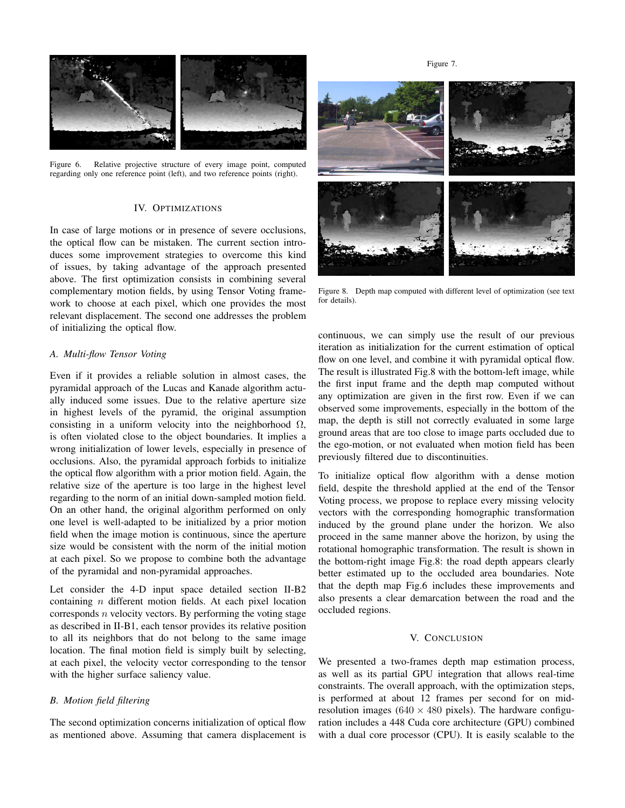

Figure 6. Relative projective structure of every image point, computed regarding only one reference point (left), and two reference points (right).

#### IV. OPTIMIZATIONS

In case of large motions or in presence of severe occlusions, the optical flow can be mistaken. The current section introduces some improvement strategies to overcome this kind of issues, by taking advantage of the approach presented above. The first optimization consists in combining several complementary motion fields, by using Tensor Voting framework to choose at each pixel, which one provides the most relevant displacement. The second one addresses the problem of initializing the optical flow.

#### *A. Multi-flow Tensor Voting*

Even if it provides a reliable solution in almost cases, the pyramidal approach of the Lucas and Kanade algorithm actually induced some issues. Due to the relative aperture size in highest levels of the pyramid, the original assumption consisting in a uniform velocity into the neighborhood  $\Omega$ , is often violated close to the object boundaries. It implies a wrong initialization of lower levels, especially in presence of occlusions. Also, the pyramidal approach forbids to initialize the optical flow algorithm with a prior motion field. Again, the relative size of the aperture is too large in the highest level regarding to the norm of an initial down-sampled motion field. On an other hand, the original algorithm performed on only one level is well-adapted to be initialized by a prior motion field when the image motion is continuous, since the aperture size would be consistent with the norm of the initial motion at each pixel. So we propose to combine both the advantage of the pyramidal and non-pyramidal approaches.

Let consider the 4-D input space detailed section II-B2 containing  $n$  different motion fields. At each pixel location corresponds  $n$  velocity vectors. By performing the voting stage as described in II-B1, each tensor provides its relative position to all its neighbors that do not belong to the same image location. The final motion field is simply built by selecting, at each pixel, the velocity vector corresponding to the tensor with the higher surface saliency value.

#### *B. Motion field filtering*

The second optimization concerns initialization of optical flow as mentioned above. Assuming that camera displacement is Figure 7.



Figure 8. Depth map computed with different level of optimization (see text for details).

continuous, we can simply use the result of our previous iteration as initialization for the current estimation of optical flow on one level, and combine it with pyramidal optical flow. The result is illustrated Fig.8 with the bottom-left image, while the first input frame and the depth map computed without any optimization are given in the first row. Even if we can observed some improvements, especially in the bottom of the map, the depth is still not correctly evaluated in some large ground areas that are too close to image parts occluded due to the ego-motion, or not evaluated when motion field has been previously filtered due to discontinuities.

To initialize optical flow algorithm with a dense motion field, despite the threshold applied at the end of the Tensor Voting process, we propose to replace every missing velocity vectors with the corresponding homographic transformation induced by the ground plane under the horizon. We also proceed in the same manner above the horizon, by using the rotational homographic transformation. The result is shown in the bottom-right image Fig.8: the road depth appears clearly better estimated up to the occluded area boundaries. Note that the depth map Fig.6 includes these improvements and also presents a clear demarcation between the road and the occluded regions.

#### V. CONCLUSION

We presented a two-frames depth map estimation process, as well as its partial GPU integration that allows real-time constraints. The overall approach, with the optimization steps, is performed at about 12 frames per second for on midresolution images ( $640 \times 480$  pixels). The hardware configuration includes a 448 Cuda core architecture (GPU) combined with a dual core processor (CPU). It is easily scalable to the